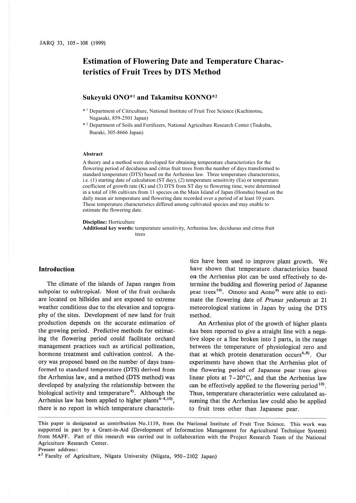# **Estimation of Flowering Date and Temperature Characteristics of Fruit Trees by DTS Method**

# **Sukeyuki ONO\*1 and Takamitsu KONNO\*2**

- \* 1 Department of Citriculture, National Institute of Fruit Tree Science (Kuchinotsu, Nagasaki, 859-2501 Japan)
- \* 2 Department of Soils and Fertilizers, National Agriculture Research Center (Tsukuba, Ibaraki, 305-8666 Japan)

#### **Abstract**

A theory and a method were developed for obtaining temperature characteristics for the flowering period of deciduous and citrus fruit trees from the number of days transformed to standard temperature (DTS) based on the Arrhenius law. Three temperature characteristics, i.e. (1) starting date of calculation (ST day), (2) temperature sensitivity (Ea) or temperature coefficient of growth rate  $(K)$  and  $(3)$  DTS from ST day to flowering time, were determined in a total of 186 cultivars from 11 species on the Main Island of Japan (Honshu) based on the daily mean air temperature and flowering date recorded over a period of at least 10 years. These temperature characteristics differed among cultivated species and may enable to estimate the flowering date.

**Discipline:** Horticulture

**Additional key words:** temperature sensitivity, Arrhenius law, deciduous and citrus fruit trees

#### **Introduction**

The climate of the islands of Japan ranges from subpolar to subtropical. Most of the fruit orchards are located on hillsides and are exposed to extreme weather conditions due to the elevation and topography of the sites. Development of new land for fruit production depends on the accurate estimation of the growing period. Predictive methods for estimating the flowering period could facilitate orchard management practices such as artificial pollination, hormone treatment and cultivation control. A theory was proposed based on the number of days transformed to standard temperature (DTS) derived from the Arrhenius law, and a method (DTS method) was developed by analyzing the relationship between the biological activity and temperature<sup>4</sup>. Although the Arrhenius law has been applied to higher plants  $6-8,10$ , there is no report in which temperature characteristics have been used to improve plant growth. We have shown that temperature characteristics based on the Arrhenius plot can be used effectively to determine the budding and flowering period of Japanese pear trees<sup>10)</sup>. Omoto and Aono<sup>9)</sup> were able to estimate the flowering date of *Prunus yedoensis* at 21 meteorological stations in Japan by using the DTS method.

**An** Arrhenius plot of the growth of higher plants has been reported to give a straight line with a negative slope or a line broken into 2 parts, in the range between the temperature of physiological zero and that at which protein denaturation occurs<sup>6,8)</sup>. Our experiments have shown that the Arrhenius plot of the flowering period of Japanese pear trees gives linear plots at  $7-20\degree C$ , and that the Arrhenius law can be effectively applied to the flowering period  $10$ . Thus, temperature characteristics were calculated assuming that the Arrhenius law could also be applied to fruit trees other than Japanese pear.

This paper is designated as contribution No.1119, from the National Institute of Fruit Tree Science. This work was supported in part by a Grant-in-Aid (Development of Information Management for Agricultural Technique System) from MAFF. Part of this research was carried out in collaboration with the Project Research Team of the National Agriculture Research Center.

Present address:

<sup>•</sup> <sup>2</sup>Faculty of Agriculture, Niigata University (Niigata, 950-2102 Japan)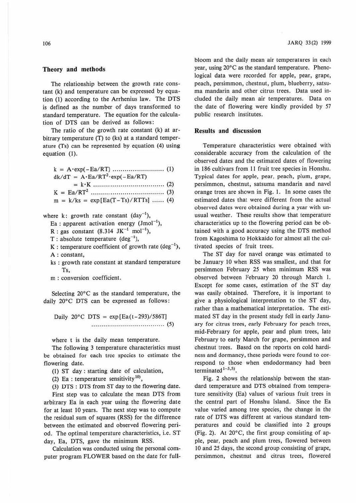### **Theory and methods**

The relationship between the growth rate constant (k) and temperature can be expressed by equation (1) according to the Arrhenius law. The DTS is defined as the number of days transformed to standard temperature. The equation for the calculation of DTS can be derived as follows:

The ratio of the growth rate constant (k) at arbitrary temperature (T) to (ks) at a standard temperature (Ts) can be represented by equation (4) using equation (I).

|  |  | $dk/dT = A \cdot Ea/RT^2 \cdot exp(-Ea/RT)$ |  |  |
|--|--|---------------------------------------------|--|--|
|  |  |                                             |  |  |

$$
K = Ea/RT2 \dots
$$
 (3)

$$
m = k/ks = exp[Eq(T - Ts)/RTTs] \dots . . . (4)
$$

# where k: growth rate constant  $\text{(day}^{-1})$ ,

$$
Ea
$$
: apparent activation energy  $(Jmol^{-1})$ ,

- $R:$  gas constant (8.314  $JK^{-1}$  mol<sup>-1</sup>),
- $T: absolute temperature (deg<sup>-1</sup>),$
- K : temperature coefficient of growth rate  $(\text{deg}^{-1})$ , **A** : constant,
- ks : growth rate constant at standard temperature Ts,
- m : conversion coefficient.

Selecting 20°C as the standard temperature, the daily 20°C DTS can be expressed as follows:

Daily 20°C DTS =  $exp[Eq(t-293)/586T]$ .... ................................. (5)

where t is the daily mean temperature.

The following 3 temperature characteristics must be obtained for each tree species to estimate the flowering date.

(I) ST day : starting date of calculation,

(2) Ea : temperature sensitivity<sup>10</sup>),

(3) DTS : DTS from ST day to the flowering date.

First step was to calculate the mean DTS from arbitrary Ea in each year using the flowering date for at least 10 years. The next step was to compute the residual sum of squares (RSS) for the difference between the estimated and observed flowering period. The optimal temperature characteristics, i.e. ST day, Ea, DTS, gave the minimum RSS.

Calculation was conducted using the personal computer program FLOWER based on the date for fullJARQ 33(2) 1999

bloom and the daily mean air temperatures in each year, using 20°C as the standard temperature. Phenological data were recorded for apple, pear, grape, peach, persimmon, chestnut, plum, blueberry, satsuma mandarin and other citrus trees. Data used included the daily mean air temperatures. Data on the date of flowering were kindly provided by 57 public research institutes.

#### **Results and discussion**

Temperature characteristics were obtained with considerable accuracy from the calculation of the observed dates and the estimated dates of flowering in 186 cultivars from 11 fruit tree species in Honshu. Typical dates for apple, pear, peach, plum, grape, persimmon, chestnut, satsuma mandarin and navel orange trees are shown in Fig. 1. ln some cases the estimated dates that were different from the actual observed dates were obtained during a year with unusual weather. These results show that temperature characteristics up to the flowering period can be obtained with a good accuracy using the DTS method from Kagoshima to Hokkaido for almost all the cultivated species of fruit trees.

The ST day for navel orange was estimated to be January 10 when RSS was smallest, and that for persimmon February 25 when minimum RSS was observed between February 20 through March I. Except for some cases, estimation of the ST day was easily obtained. Therefore, it is important to give a physiological interpretation to the ST day, rather than a mathematical interpretation. The estimated ST day in the present study fell in early January for citrus trees, early February for peach trees, mid-February for apple, pear and plum trees, late February to early March for grape, persimmon and chestnut trees. Based on the reports on cold hardiness and dormancy, these periods were found to correspond to those when endodormancy had been terminated  $1-3,5$ ).

Fig. 2 shows the relationship between the standard temperature and DTS obtained from temperature sensitivity (Ea) values of various fruit trees in the central part of Honshu Island. Since the Ea value varied among tree species, the change in the rate of DTS was different at various standard temperatures and could be classified into 2 groups (Fig. 2). At 20°C, the first group consisting of apple, pear, peach and plum trees, flowered between 10 and 25 days, the second group consisting of grape, persimmon, chestnut and citrus trees, flowered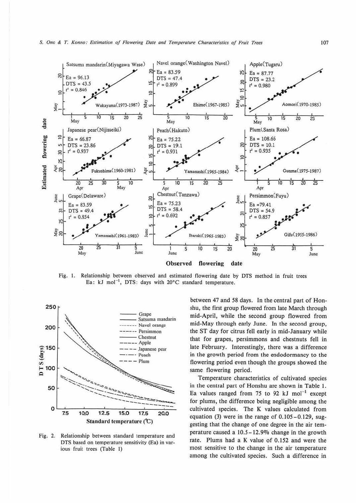

Fig. 1. Relationship between observed and estimated flowering date by DTS method in fruit trees Ea:  $kJ \text{ mol}^{-1}$ , DTS: days with 20°C standard temperature.



**Fig.** 2. Relationship between standard temperature and DTS based on temperature sensitivity (Ea) in various fruit trees (Table I)

between 47 and 58 days. In the central part of Honshu, the first group flowered from late March through mid-April, while the second group flowered from mid-May through early June. In the second group, the ST day for citrus fell early in mid-January while that for grapes, persimmons and chestnuts fell in late February. Interestingly, there was a difference in the growth period from the endodormancy to the flowering period even though the groups showed the same flowering period.

Temperature characteristics of cultivated species in the central part of Honshu are shown in Table 1. Ea values ranged from 75 to 92 kJ mol<sup>-1</sup> except for plums, the difference being negligible among the cultivated species. The K values calculated from equation (3) were in the range of 0.105-0.129, suggesting that the change of one degree in the air temperature caused a 10.5-12.90/o change in the growth rate. Plums had a K value of 0.152 and were the most sensitive to the change in the air temperature among the cultivated species. Such a difference in